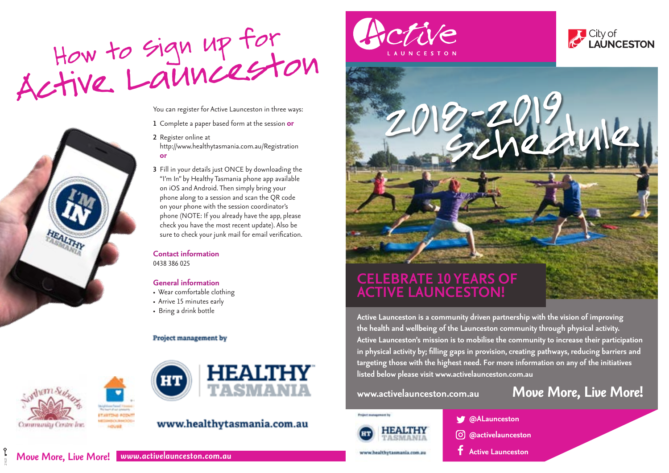



You can register for Active Launceston in three ways:

**1** Complete a paper based form at the session **or**

- **2** Register online at http://www.healthytasmania.com.au/Registration **or**
- **3** Fill in your details just ONCE by downloading the "I'm In" by Healthy Tasmania phone app available on iOS and Android. Then simply bring your phone along to a session and scan the QR code on your phone with the session coordinator's phone (NOTE: If you already have the app, please check you have the most recent update). Also be sure to check your junk mail for email verification.

**Contact information** 0438 386 025

#### **General information**

- Wear comfortable clothing
- Arrive 15 minutes early
- Bring a drink bottle

#### Project management by



21621



### www.healthytasmania.com.au







## **CELEBRATE 10 YEARS OF ACTIVE LAUNCESTON!**

**Active Launceston is a community driven partnership with the vision of improving the health and wellbeing of the Launceston community through physical activity. Active Launceston's mission is to mobilise the community to increase their participation in physical activity by; filling gaps in provision, creating pathways, reducing barriers and targeting those with the highest need. For more information on any of the initiatives listed below please visit www.activelaunceston.com.au** 

# **www.activelaunceston.com.au** *Move More, Live More!*



www.healthytasmania.com.au

**@ALaunceston**

- **@activelaunceston**
	- **Active Launceston**

*Move More, Live More! www.activelaunceston.com.au*